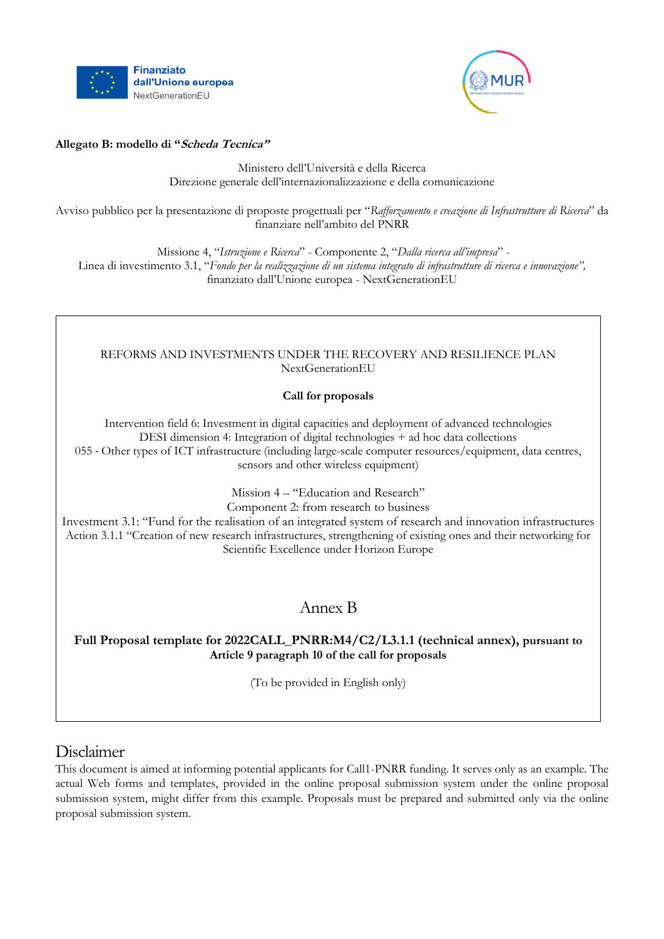



### **Allegato B: modello di "Scheda Tecnica"**

Ministero dell'Università e della Ricerca Direzione generale dell'internazionalizzazione e della comunicazione

Avviso pubblico per la presentazione di proposte progettuali per "*Rafforzamento e creazione di Infrastrutture di Ricerca*" da finanziare nell'ambito del PNRR

Missione 4, "*Istruzione e Ricerca*" - Componente 2, "*Dalla ricerca all'impresa*" - Linea di investimento 3.1, "*Fondo per la realizzazione di un sistema integrato di infrastrutture di ricerca e innovazione",*  finanziato dall'Unione europea - NextGenerationEU

### REFORMS AND INVESTMENTS UNDER THE RECOVERY AND RESILIENCE PLAN NextGenerationEU

## **Call for proposals**

Intervention field 6: Investment in digital capacities and deployment of advanced technologies DESI dimension 4: Integration of digital technologies + ad hoc data collections 055 - Other types of ICT infrastructure (including large-scale computer resources/equipment, data centres, sensors and other wireless equipment)

> Mission 4 – "Education and Research" Component 2: from research to business

Investment 3.1: "Fund for the realisation of an integrated system of research and innovation infrastructures Action 3.1.1 "Creation of new research infrastructures, strengthening of existing ones and their networking for Scientific Excellence under Horizon Europe

# Annex B

## **Full Proposal template for 2022CALL\_PNRR:M4/C2/L3.1.1 (technical annex), pursuant to Article 9 paragraph 10 of the call for proposals**

(To be provided in English only)

# Disclaimer

This document is aimed at informing potential applicants for Call1-PNRR funding. It serves only as an example. The actual Web forms and templates, provided in the online proposal submission system under the online proposal submission system, might differ from this example. Proposals must be prepared and submitted only via the online proposal submission system.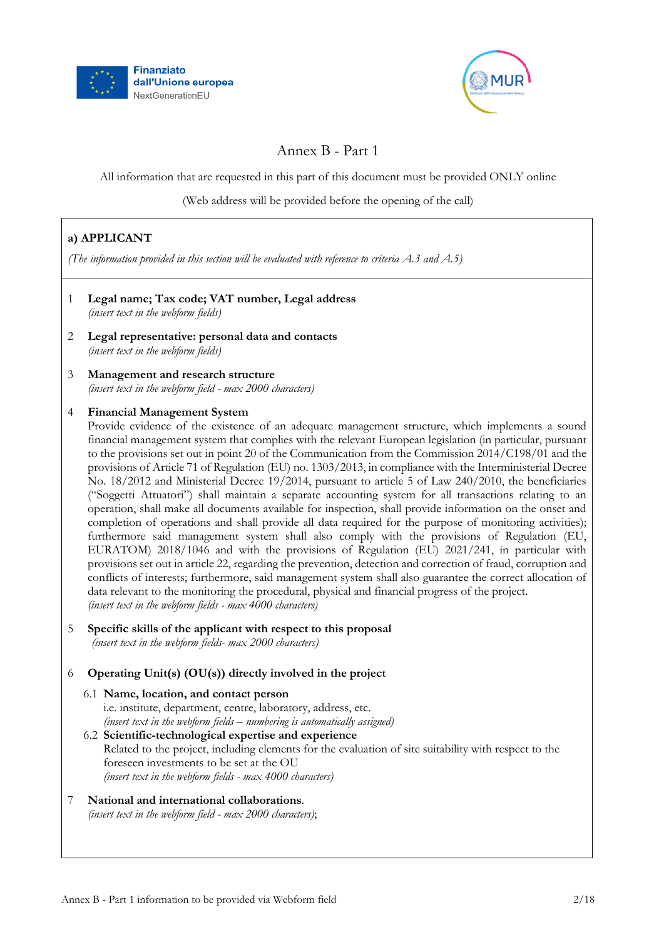



# Annex B - Part 1

All information that are requested in this part of this document must be provided ONLY online

(Web address will be provided before the opening of the call)

# **a) APPLICANT**

*(The information provided in this section will be evaluated with reference to criteria A.3 and A.5)*

1 **Legal name; Tax code; VAT number, Legal address** *(insert text in the webform fields)* 2 **Legal representative: personal data and contacts** *(insert text in the webform fields)* 3 **Management and research structure** *(insert text in the webform field - max 2000 characters)* 4 **Financial Management System** Provide evidence of the existence of an adequate management structure, which implements a sound financial management system that complies with the relevant European legislation (in particular, pursuant to the provisions set out in point 20 of the Communication from the Commission 2014/C198/01 and the provisions of Article 71 of Regulation (EU) no. 1303/2013, in compliance with the Interministerial Decree No. 18/2012 and Ministerial Decree 19/2014, pursuant to article 5 of Law 240/2010, the beneficiaries ("Soggetti Attuatori") shall maintain a separate accounting system for all transactions relating to an operation, shall make all documents available for inspection, shall provide information on the onset and completion of operations and shall provide all data required for the purpose of monitoring activities); furthermore said management system shall also comply with the provisions of Regulation (EU, EURATOM) 2018/1046 and with the provisions of Regulation (EU) 2021/241, in particular with provisions set out in article 22, regarding the prevention, detection and correction of fraud, corruption and conflicts of interests; furthermore, said management system shall also guarantee the correct allocation of data relevant to the monitoring the procedural, physical and financial progress of the project. *(insert text in the webform fields - max 4000 characters)* 5 **Specific skills of the applicant with respect to this proposal** *(insert text in the webform fields- max 2000 characters)*

### 6 **Operating Unit(s) (OU(s)) directly involved in the project**

- 6.1 **Name, location, and contact person** i.e. institute, department, centre, laboratory, address, etc. *(insert text in the webform fields – numbering is automatically assigned)*
- 6.2 **Scientific-technological expertise and experience** Related to the project, including elements for the evaluation of site suitability with respect to the foreseen investments to be set at the OU *(insert text in the webform fields - max 4000 characters)*
- 7 **National and international collaborations**. *(insert text in the webform field - max 2000 characters)*;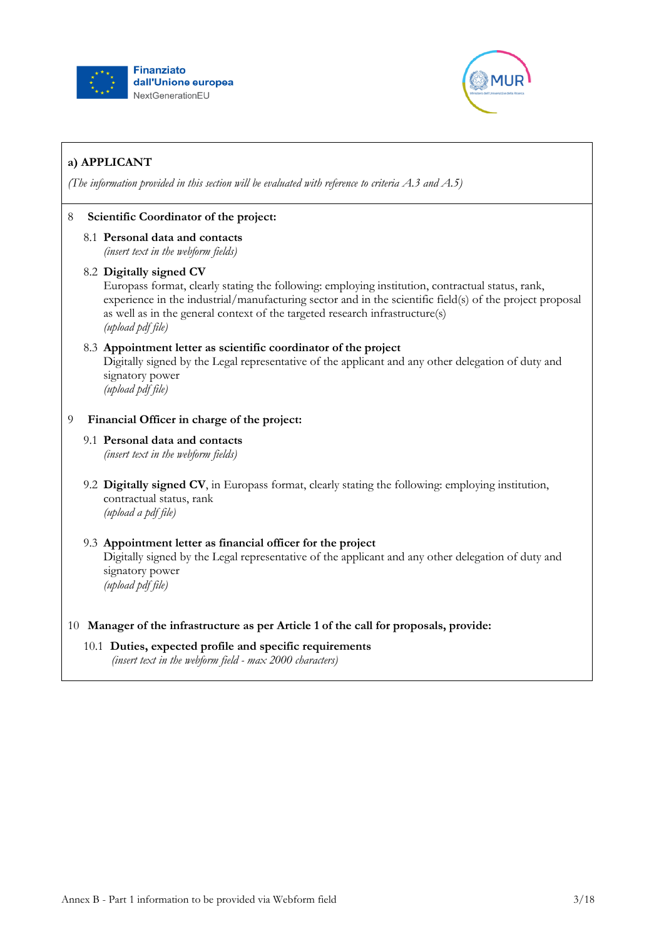



# **a) APPLICANT**

*(The information provided in this section will be evaluated with reference to criteria A.3 and A.5)*

## 8 **Scientific Coordinator of the project:**

8.1 **Personal data and contacts** *(insert text in the webform fields)*

### 8.2 **Digitally signed CV**

Europass format, clearly stating the following: employing institution, contractual status, rank, experience in the industrial/manufacturing sector and in the scientific field(s) of the project proposal as well as in the general context of the targeted research infrastructure(s) *(upload pdf file)*

### 8.3 **Appointment letter as scientific coordinator of the project**

Digitally signed by the Legal representative of the applicant and any other delegation of duty and signatory power

*(upload pdf file)*

## 9 **Financial Officer in charge of the project:**

#### 9.1 **Personal data and contacts**

*(insert text in the webform fields)*

9.2 **Digitally signed CV**, in Europass format, clearly stating the following: employing institution, contractual status, rank *(upload a pdf file)*

## 9.3 **Appointment letter as financial officer for the project**

Digitally signed by the Legal representative of the applicant and any other delegation of duty and signatory power *(upload pdf file)*

### 10 **Manager of the infrastructure as per Article 1 of the call for proposals, provide:**

10.1 **Duties, expected profile and specific requirements** *(insert text in the webform field - max 2000 characters)*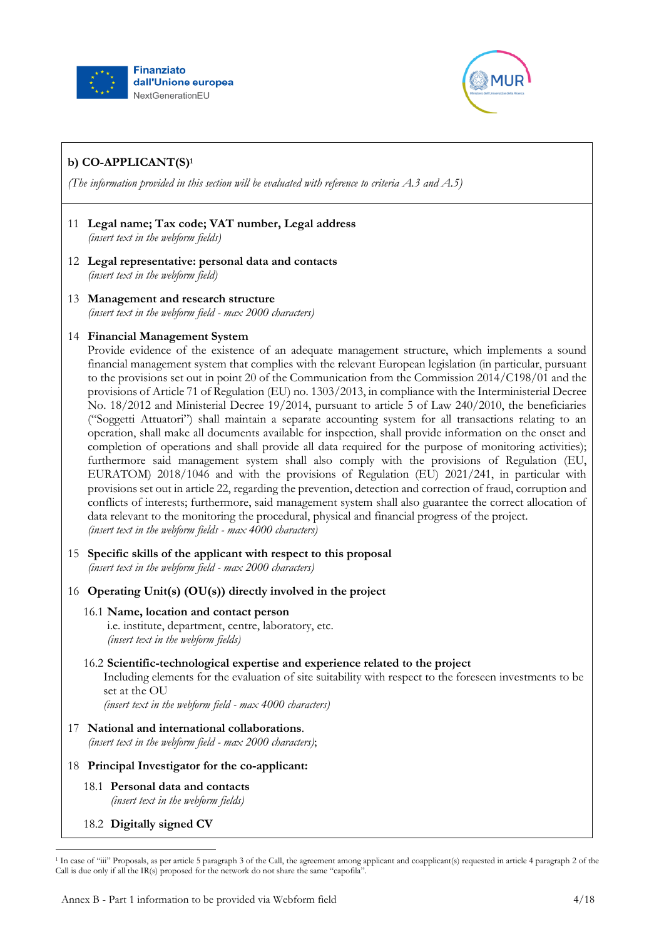



# **b) CO-APPLICANT(S)<sup>1</sup>**

*(The information provided in this section will be evaluated with reference to criteria A.3 and A.5)*

- 11 **Legal name; Tax code; VAT number, Legal address** *(insert text in the webform fields)*
- 12 **Legal representative: personal data and contacts** *(insert text in the webform field)*
- 13 **Management and research structure** *(insert text in the webform field - max 2000 characters)*
- 14 **Financial Management System**

Provide evidence of the existence of an adequate management structure, which implements a sound financial management system that complies with the relevant European legislation (in particular, pursuant to the provisions set out in point 20 of the Communication from the Commission 2014/C198/01 and the provisions of Article 71 of Regulation (EU) no. 1303/2013, in compliance with the Interministerial Decree No. 18/2012 and Ministerial Decree 19/2014, pursuant to article 5 of Law 240/2010, the beneficiaries ("Soggetti Attuatori") shall maintain a separate accounting system for all transactions relating to an operation, shall make all documents available for inspection, shall provide information on the onset and completion of operations and shall provide all data required for the purpose of monitoring activities); furthermore said management system shall also comply with the provisions of Regulation (EU, EURATOM) 2018/1046 and with the provisions of Regulation (EU) 2021/241, in particular with provisions set out in article 22, regarding the prevention, detection and correction of fraud, corruption and conflicts of interests; furthermore, said management system shall also guarantee the correct allocation of data relevant to the monitoring the procedural, physical and financial progress of the project. *(insert text in the webform fields - max 4000 characters)*

- 15 **Specific skills of the applicant with respect to this proposal** *(insert text in the webform field - max 2000 characters)*
- 16 **Operating Unit(s) (OU(s)) directly involved in the project**

### 16.1 **Name, location and contact person**

i.e. institute, department, centre, laboratory, etc. *(insert text in the webform fields)*

16.2 **Scientific-technological expertise and experience related to the project**

Including elements for the evaluation of site suitability with respect to the foreseen investments to be set at the OU

*(insert text in the webform field - max 4000 characters)*

- 17 **National and international collaborations**. *(insert text in the webform field - max 2000 characters)*;
- 18 **Principal Investigator for the co-applicant:**
	- 18.1 **Personal data and contacts** *(insert text in the webform fields)*
	- 18.2 **Digitally signed CV**

 $\ddot{\phantom{a}}$ 

<sup>1</sup> In case of "iii" Proposals, as per article 5 paragraph 3 of the Call, the agreement among applicant and coapplicant(s) requested in article 4 paragraph 2 of the Call is due only if all the IR(s) proposed for the network do not share the same "capofila".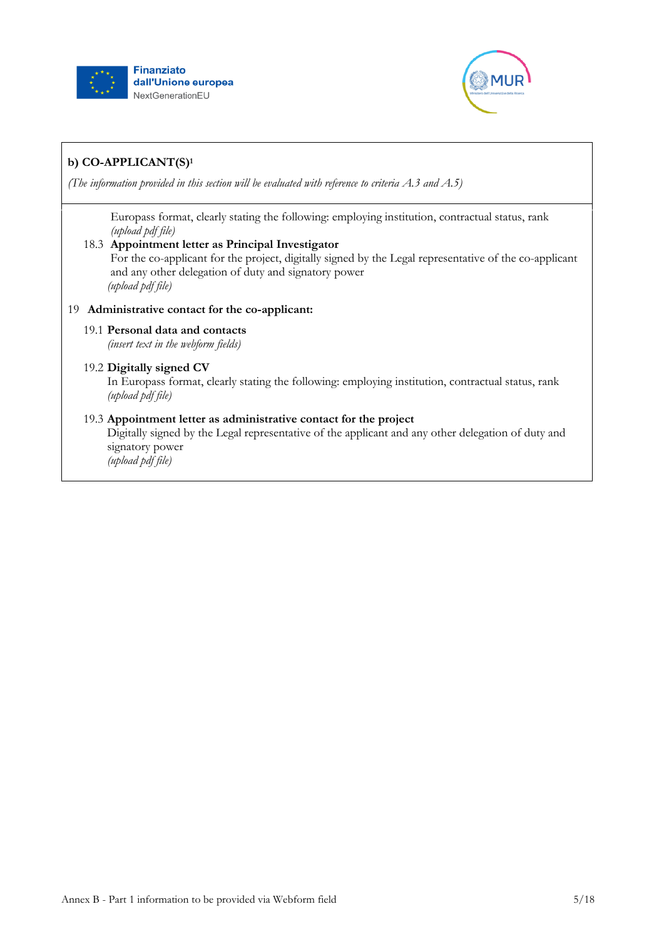



# **b) CO-APPLICANT(S)<sup>1</sup>**

*(The information provided in this section will be evaluated with reference to criteria A.3 and A.5)*

Europass format, clearly stating the following: employing institution, contractual status, rank *(upload pdf file)*

### 18.3 **Appointment letter as Principal Investigator**

For the co-applicant for the project, digitally signed by the Legal representative of the co-applicant and any other delegation of duty and signatory power *(upload pdf file)*

## 19 **Administrative contact for the co-applicant:**

### 19.1 **Personal data and contacts**

*(insert text in the webform fields)*

## 19.2 **Digitally signed CV**

In Europass format, clearly stating the following: employing institution, contractual status, rank *(upload pdf file)*

### 19.3 **Appointment letter as administrative contact for the project**

Digitally signed by the Legal representative of the applicant and any other delegation of duty and signatory power

*(upload pdf file)*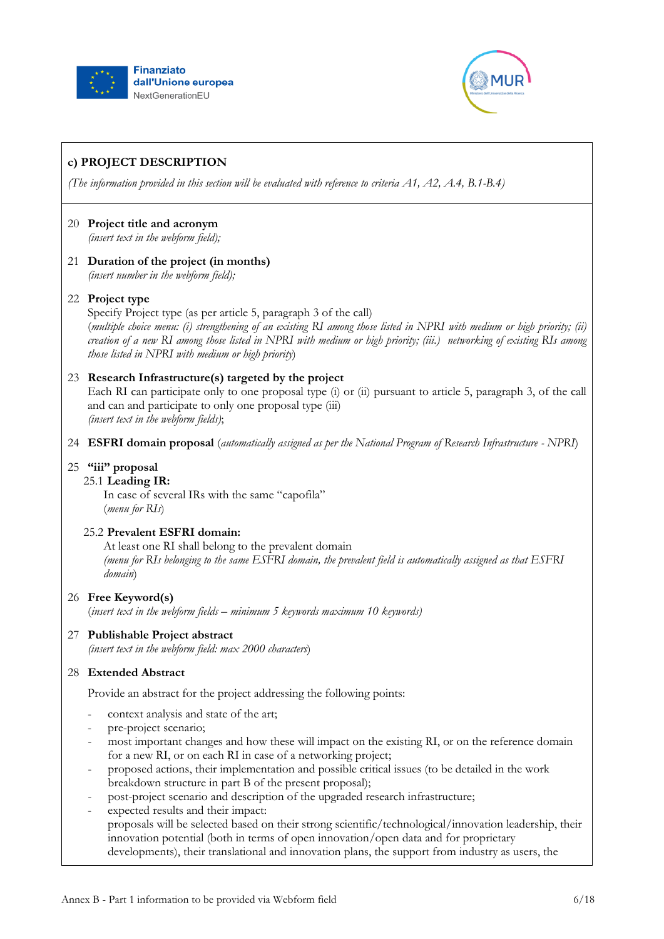



*(The information provided in this section will be evaluated with reference to criteria A1, A2, A.4, B.1-B.4)*

#### 20 **Project title and acronym** *(insert text in the webform field);*

21 **Duration of the project (in months)** *(insert number in the webform field);*

### 22 **Project type**

Specify Project type (as per article 5, paragraph 3 of the call) (*multiple choice menu: (i) strengthening of an existing RI among those listed in NPRI with medium or high priority; (ii) creation of a new RI among those listed in NPRI with medium or high priority; (iii.) networking of existing RIs among those listed in NPRI with medium or high priority*)

### 23 **Research Infrastructure(s) targeted by the project**

Each RI can participate only to one proposal type (i) or (ii) pursuant to article 5, paragraph 3, of the call and can and participate to only one proposal type (iii) *(insert text in the webform fields)*;

24 **ESFRI domain proposal** (*automatically assigned as per the National Program of Research Infrastructure - NPRI*)

#### 25 **"iii" proposal**

#### 25.1 **Leading IR:**

In case of several IRs with the same "capofila" (*menu for RIs*)

## 25.2 **Prevalent ESFRI domain:**

At least one RI shall belong to the prevalent domain *(menu for RIs belonging to the same ESFRI domain, the prevalent field is automatically assigned as that ESFRI domain*)

#### 26 **Free Keyword(s)**

(*insert text in the webform fields – minimum 5 keywords maximum 10 keywords)* 

27 **Publishable Project abstract**

*(insert text in the webform field: max 2000 characters*)

#### 28 **Extended Abstract**

Provide an abstract for the project addressing the following points:

- context analysis and state of the art;
- pre-project scenario;
- most important changes and how these will impact on the existing RI, or on the reference domain for a new RI, or on each RI in case of a networking project;
- proposed actions, their implementation and possible critical issues (to be detailed in the work breakdown structure in part B of the present proposal);
- post-project scenario and description of the upgraded research infrastructure;
- expected results and their impact: proposals will be selected based on their strong scientific/technological/innovation leadership, their innovation potential (both in terms of open innovation/open data and for proprietary developments), their translational and innovation plans, the support from industry as users, the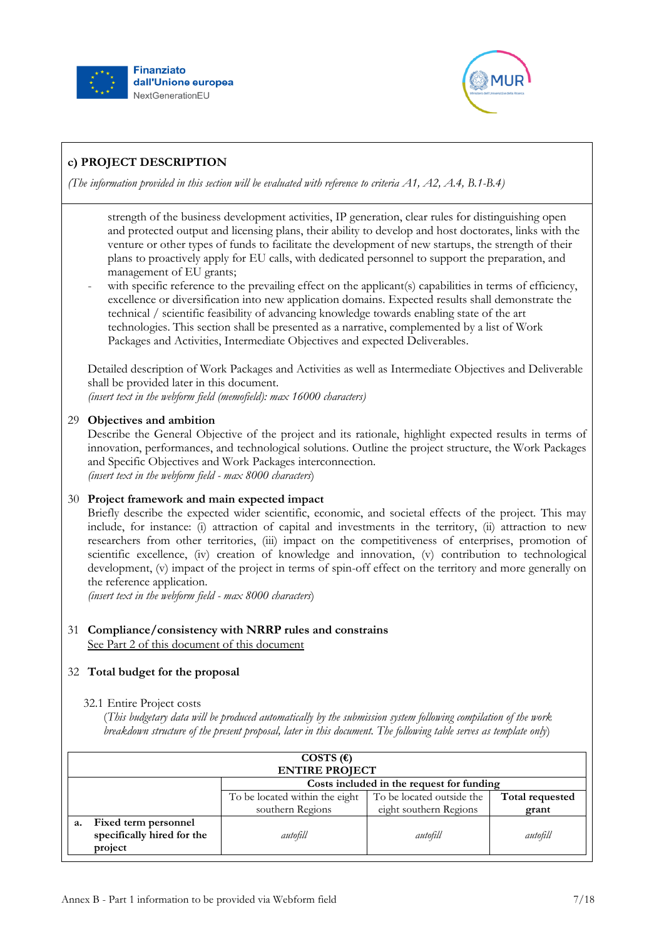



*(The information provided in this section will be evaluated with reference to criteria A1, A2, A.4, B.1-B.4)*

strength of the business development activities, IP generation, clear rules for distinguishing open and protected output and licensing plans, their ability to develop and host doctorates, links with the venture or other types of funds to facilitate the development of new startups, the strength of their plans to proactively apply for EU calls, with dedicated personnel to support the preparation, and management of EU grants;

with specific reference to the prevailing effect on the applicant(s) capabilities in terms of efficiency, excellence or diversification into new application domains. Expected results shall demonstrate the technical / scientific feasibility of advancing knowledge towards enabling state of the art technologies. This section shall be presented as a narrative, complemented by a list of Work Packages and Activities, Intermediate Objectives and expected Deliverables.

Detailed description of Work Packages and Activities as well as Intermediate Objectives and Deliverable shall be provided later in this document.

*(insert text in the webform field (memofield): max 16000 characters)*

## 29 **Objectives and ambition**

Describe the General Objective of the project and its rationale, highlight expected results in terms of innovation, performances, and technological solutions. Outline the project structure, the Work Packages and Specific Objectives and Work Packages interconnection. *(insert text in the webform field - max 8000 characters*)

## 30 **Project framework and main expected impact**

Briefly describe the expected wider scientific, economic, and societal effects of the project. This may include, for instance: (i) attraction of capital and investments in the territory, (ii) attraction to new researchers from other territories, (iii) impact on the competitiveness of enterprises, promotion of scientific excellence, (iv) creation of knowledge and innovation, (v) contribution to technological development, (v) impact of the project in terms of spin-off effect on the territory and more generally on the reference application.

*(insert text in the webform field - max 8000 characters*)

## 31 **Compliance/consistency with NRRP rules and constrains** See Part 2 of this document of this document

## 32 **Total budget for the proposal**

### 32.1 Entire Project costs

(*This budgetary data will be produced automatically by the submission system following compilation of the work breakdown structure of the present proposal, later in this document. The following table serves as template only*)

|    | COSTS $(\epsilon)$<br><b>ENTIRE PROJECT</b>                   |                                           |                           |                 |
|----|---------------------------------------------------------------|-------------------------------------------|---------------------------|-----------------|
|    |                                                               | Costs included in the request for funding |                           |                 |
|    |                                                               | To be located within the eight            | To be located outside the | Total requested |
|    |                                                               | southern Regions                          | eight southern Regions    | grant           |
| a. | Fixed term personnel<br>specifically hired for the<br>project | autofill                                  | autofill                  | autofill        |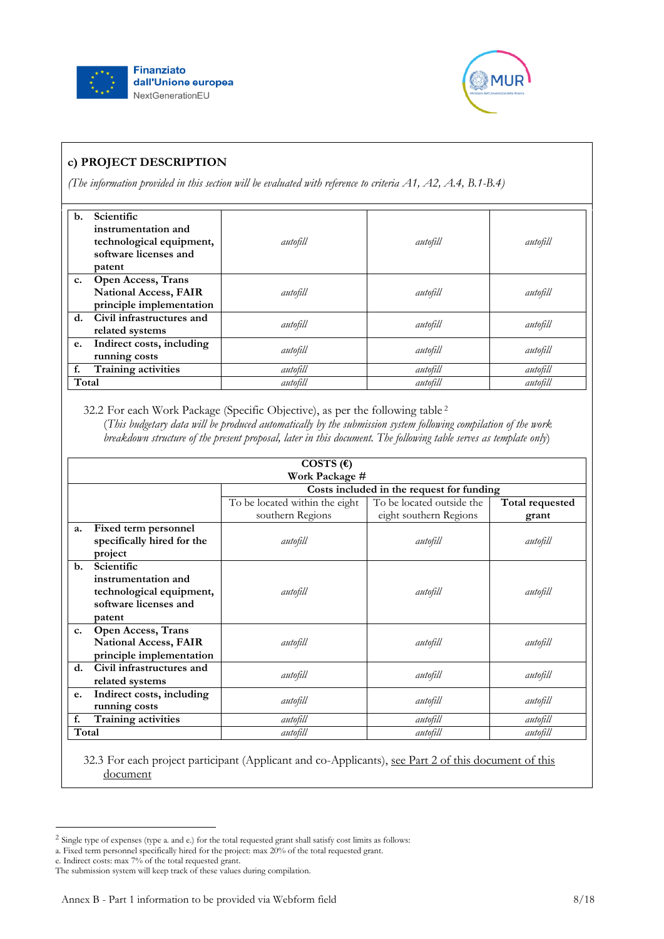



*(The information provided in this section will be evaluated with reference to criteria A1, A2, A.4, B.1-B.4)*

| $\mathbf{b}$ . | Scientific<br>instrumentation and<br>technological equipment,<br>software licenses and<br>patent | autofill | autofill | autofill |
|----------------|--------------------------------------------------------------------------------------------------|----------|----------|----------|
| $c_{\cdot}$    | <b>Open Access, Trans</b><br><b>National Access, FAIR</b><br>principle implementation            | autofill | autofill | autofill |
|                | d. Civil infrastructures and<br>related systems                                                  | autofill | autofill | autofill |
| e.             | Indirect costs, including<br>running costs                                                       | autofill | autofill | autofill |
| f.             | Training activities                                                                              | autofill | autofill | autofill |
| Total          |                                                                                                  | autofill | autofill | autofill |

32.2 For each Work Package (Specific Objective), as per the following table <sup>2</sup> (*This budgetary data will be produced automatically by the submission system following compilation of the work breakdown structure of the present proposal, later in this document. The following table serves as template only*)

|                | COSTS $(\epsilon)$                                                                               |                                           |                           |                 |  |
|----------------|--------------------------------------------------------------------------------------------------|-------------------------------------------|---------------------------|-----------------|--|
|                | Work Package #                                                                                   |                                           |                           |                 |  |
|                |                                                                                                  | Costs included in the request for funding |                           |                 |  |
|                |                                                                                                  | To be located within the eight            | To be located outside the | Total requested |  |
|                |                                                                                                  | southern Regions                          | eight southern Regions    | grant           |  |
| a.             | Fixed term personnel<br>specifically hired for the<br>project                                    | autofill                                  | autofill                  | autofill        |  |
| $\mathbf{b}$ . | Scientific<br>instrumentation and<br>technological equipment,<br>software licenses and<br>patent | autofill                                  | autofill                  | autofill        |  |
| c.             | <b>Open Access, Trans</b><br><b>National Access, FAIR</b><br>principle implementation            | autofill                                  | autofill                  | autofill        |  |
| d.             | Civil infrastructures and<br>related systems                                                     | autofill                                  | autofill                  | autofill        |  |
| e.             | Indirect costs, including<br>running costs                                                       | autofill                                  | autofill                  | autofill        |  |
| f.             | Training activities                                                                              | autofill                                  | autofill                  | autofill        |  |
| Total          |                                                                                                  | autofill                                  | autofill                  | autofill        |  |

32.3 For each project participant (Applicant and co-Applicants), see Part 2 of this document of this document

<sup>2</sup> Single type of expenses (type a. and e.) for the total requested grant shall satisfy cost limits as follows:

a. Fixed term personnel specifically hired for the project: max 20% of the total requested grant.

e. Indirect costs: max 7% of the total requested grant.

The submission system will keep track of these values during compilation.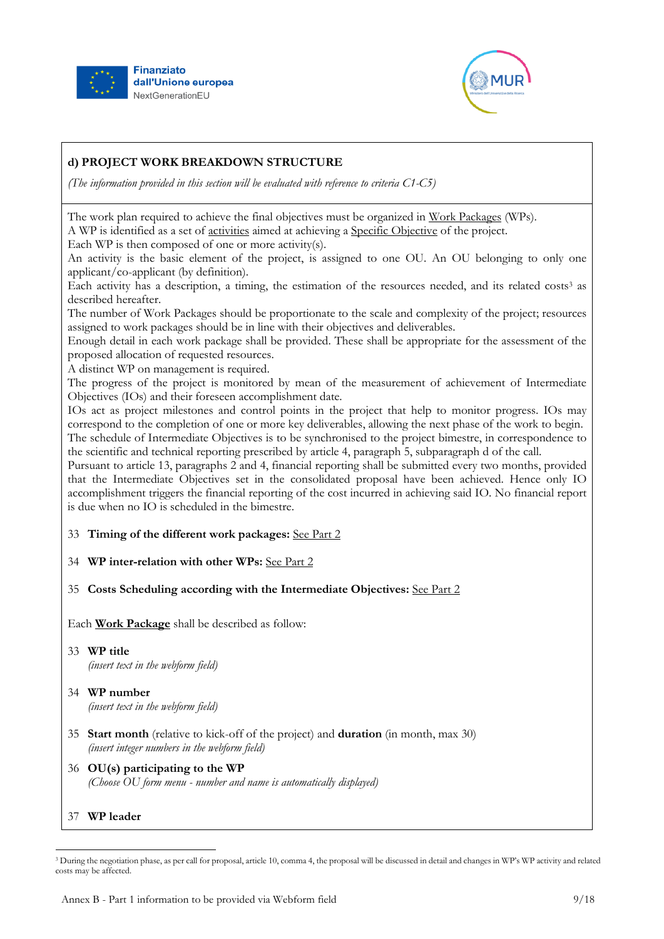



*(The information provided in this section will be evaluated with reference to criteria C1-C5)*

The work plan required to achieve the final objectives must be organized in Work Packages (WPs). A WP is identified as a set of activities aimed at achieving a Specific Objective of the project.

Each WP is then composed of one or more activity(s).

An activity is the basic element of the project, is assigned to one OU. An OU belonging to only one applicant/co-applicant (by definition).

Each activity has a description, a timing, the estimation of the resources needed, and its related costs<sup>3</sup> as described hereafter.

The number of Work Packages should be proportionate to the scale and complexity of the project; resources assigned to work packages should be in line with their objectives and deliverables.

Enough detail in each work package shall be provided. These shall be appropriate for the assessment of the proposed allocation of requested resources.

A distinct WP on management is required.

The progress of the project is monitored by mean of the measurement of achievement of Intermediate Objectives (IOs) and their foreseen accomplishment date.

IOs act as project milestones and control points in the project that help to monitor progress. IOs may correspond to the completion of one or more key deliverables, allowing the next phase of the work to begin. The schedule of Intermediate Objectives is to be synchronised to the project bimestre, in correspondence to the scientific and technical reporting prescribed by article 4, paragraph 5, subparagraph d of the call.

Pursuant to article 13, paragraphs 2 and 4, financial reporting shall be submitted every two months, provided that the Intermediate Objectives set in the consolidated proposal have been achieved. Hence only IO accomplishment triggers the financial reporting of the cost incurred in achieving said IO. No financial report is due when no IO is scheduled in the bimestre.

### 33 **Timing of the different work packages:** See Part 2

34 **WP inter-relation with other WPs:** See Part 2

### 35 **Costs Scheduling according with the Intermediate Objectives:** See Part 2

Each **Work Package** shall be described as follow:

- 33 **WP title** *(insert text in the webform field)*
- 34 **WP number** *(insert text in the webform field)*
- 35 **Start month** (relative to kick-off of the project) and **duration** (in month, max 30) *(insert integer numbers in the webform field)*
- 36 **OU(s) participating to the WP** *(Choose OU form menu - number and name is automatically displayed)*
- 37 **WP leader**

 $\ddot{\phantom{a}}$ 

<sup>&</sup>lt;sup>3</sup> During the negotiation phase, as per call for proposal, article 10, comma 4, the proposal will be discussed in detail and changes in WP's WP activity and related costs may be affected.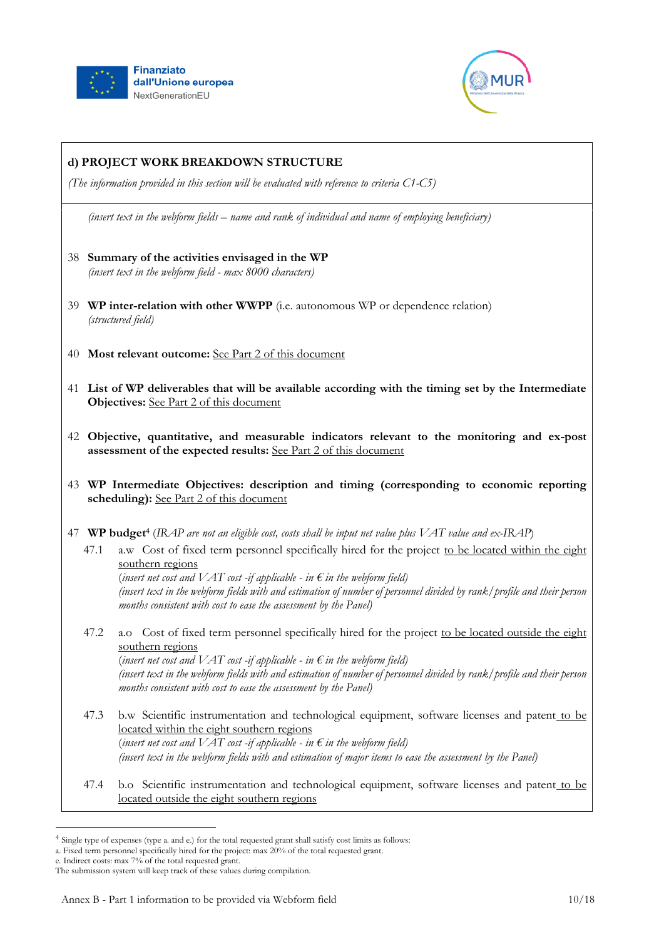



*(The information provided in this section will be evaluated with reference to criteria C1-C5)*

*(insert text in the webform fields – name and rank of individual and name of employing beneficiary)*

- 38 **Summary of the activities envisaged in the WP** *(insert text in the webform field - max 8000 characters)*
- 39 **WP inter-relation with other WWPP** (i.e. autonomous WP or dependence relation) *(structured field)*
- 40 **Most relevant outcome:** See Part 2 of this document
- 41 **List of WP deliverables that will be available according with the timing set by the Intermediate Objectives:** See Part 2 of this document
- 42 **Objective, quantitative, and measurable indicators relevant to the monitoring and ex-post assessment of the expected results:** See Part 2 of this document
- 43 **WP Intermediate Objectives: description and timing (corresponding to economic reporting scheduling):** See Part 2 of this document
- 47 **WP budget<sup>4</sup>** (*IRAP are not an eligible cost, costs shall be input net value plus VAT value and ex-IRAP*)
	- 47.1 a.w Cost of fixed term personnel specifically hired for the project to be located within the eight southern regions

(*insert net cost and VAT cost -if applicable - in*  $\epsilon$  *in the webform field*) *(insert text in the webform fields with and estimation of number of personnel divided by rank/profile and their person months consistent with cost to ease the assessment by the Panel)*

47.2 a.o Cost of fixed term personnel specifically hired for the project to be located outside the eight southern regions

(*insert net cost and VAT cost -if applicable - in*  $\epsilon$  *in the webform field*) *(insert text in the webform fields with and estimation of number of personnel divided by rank/profile and their person months consistent with cost to ease the assessment by the Panel)*

- 47.3 b.w Scientific instrumentation and technological equipment, software licenses and patent to be located within the eight southern regions (*insert net cost and VAT cost -if applicable - in*  $\epsilon$  *in the webform field*) *(insert text in the webform fields with and estimation of major items to ease the assessment by the Panel)*
- 47.4 b.o Scientific instrumentation and technological equipment, software licenses and patent to be located outside the eight southern regions

<sup>4</sup> Single type of expenses (type a. and e.) for the total requested grant shall satisfy cost limits as follows:

a. Fixed term personnel specifically hired for the project: max 20% of the total requested grant.

e. Indirect costs: max 7% of the total requested grant.

The submission system will keep track of these values during compilation.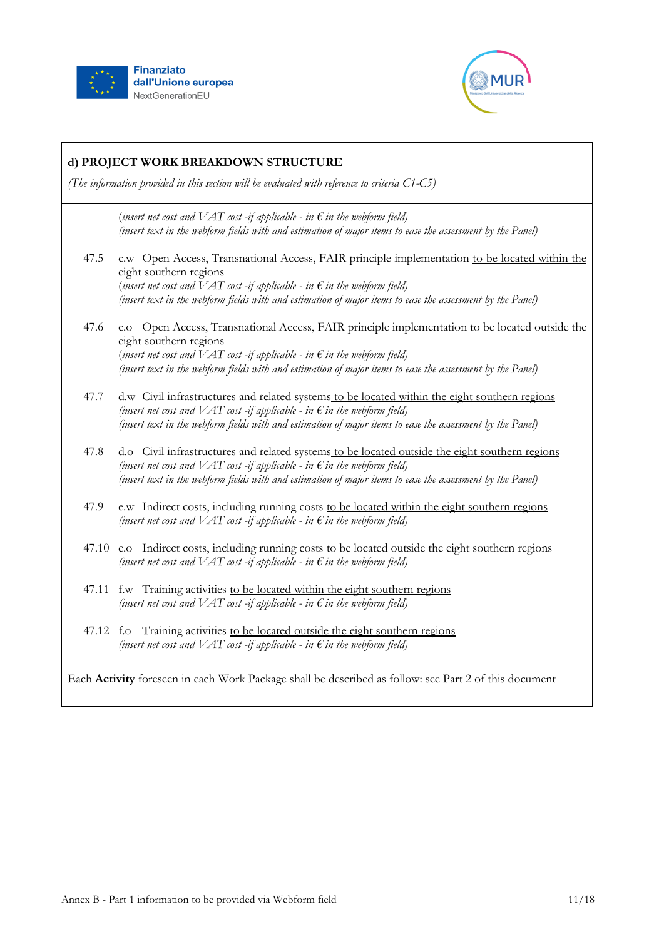



# **d) PROJECT WORK BREAKDOWN STRUCTURE** *(The information provided in this section will be evaluated with reference to criteria C1-C5)* (*insert net cost and VAT cost -if applicable - in*  $\epsilon$  *in the webform field*) *(insert text in the webform fields with and estimation of major items to ease the assessment by the Panel)* 47.5 c.w Open Access, Transnational Access, FAIR principle implementation to be located within the eight southern regions (*insert net cost and VAT cost -if applicable - in*  $\epsilon$  *in the webform field*) *(insert text in the webform fields with and estimation of major items to ease the assessment by the Panel)* 47.6 c.o Open Access, Transnational Access, FAIR principle implementation to be located outside the eight southern regions (*insert net cost and VAT cost -if applicable - in*  $\epsilon$  *in the webform field*) *(insert text in the webform fields with and estimation of major items to ease the assessment by the Panel)* 47.7 d.w Civil infrastructures and related systems to be located within the eight southern regions *(insert net cost and VAT cost -if applicable - in*  $\epsilon$  *in the webform field) (insert text in the webform fields with and estimation of major items to ease the assessment by the Panel)* 47.8 d.o Civil infrastructures and related systems to be located outside the eight southern regions *(insert net cost and VAT cost -if applicable - in*  $\epsilon$  *in the webform field) (insert text in the webform fields with and estimation of major items to ease the assessment by the Panel)* 47.9 e.w Indirect costs, including running costs to be located within the eight southern regions *(insert net cost and VAT cost -if applicable - in*  $\epsilon$  *in the webform field)* 47.10 e.o Indirect costs, including running costs to be located outside the eight southern regions *(insert net cost and VAT cost -if applicable - in*  $\epsilon$  *in the webform field)* 47.11 f.w Training activities to be located within the eight southern regions *(insert net cost and*  $VAT$  *cost -if applicable - in*  $\epsilon$  *in the webform field)* 47.12 f.o Training activities to be located outside the eight southern regions *(insert net cost and VAT cost -if applicable - in*  $\epsilon$  *in the webform field)* Each **Activity** foreseen in each Work Package shall be described as follow: see Part 2 of this document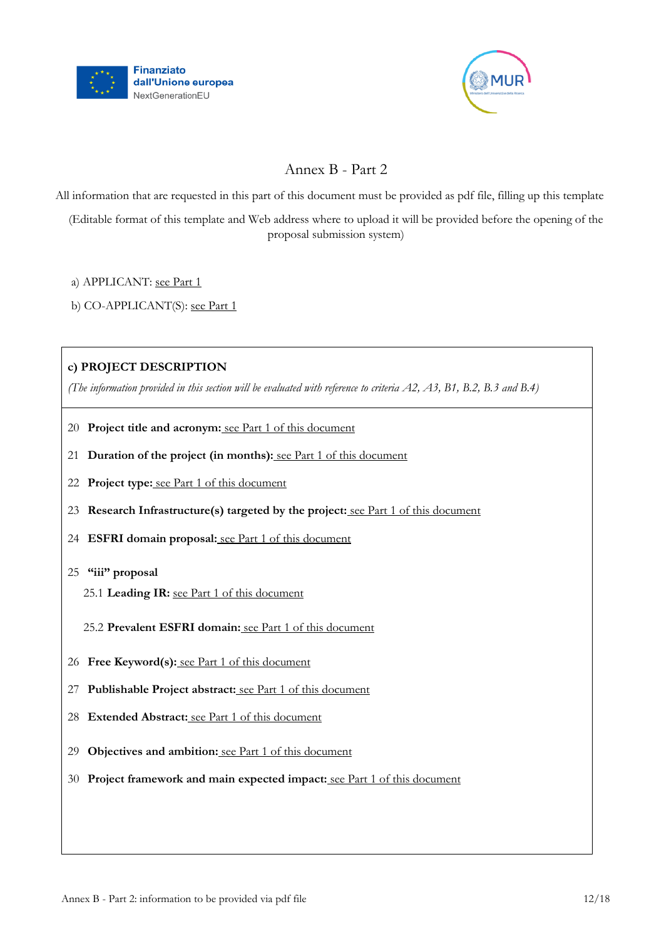



# Annex B - Part 2

All information that are requested in this part of this document must be provided as pdf file, filling up this template

(Editable format of this template and Web address where to upload it will be provided before the opening of the proposal submission system)

a) APPLICANT: see Part 1

b) CO-APPLICANT(S): see Part 1

## **c) PROJECT DESCRIPTION**

*(The information provided in this section will be evaluated with reference to criteria A2, A3, B1, B.2, B.3 and B.4)*

- 20 **Project title and acronym:** see Part 1 of this document
- 21 **Duration of the project (in months):** see Part 1 of this document
- 22 **Project type:** see Part 1 of this document
- 23 **Research Infrastructure(s) targeted by the project:** see Part 1 of this document
- 24 **ESFRI domain proposal:** see Part 1 of this document
- 25 **"iii" proposal**
	- 25.1 **Leading IR:** see Part 1 of this document
	- 25.2 **Prevalent ESFRI domain:** see Part 1 of this document
- 26 **Free Keyword(s):** see Part 1 of this document
- 27 **Publishable Project abstract:** see Part 1 of this document
- 28 **Extended Abstract:** see Part 1 of this document
- 29 **Objectives and ambition:** see Part 1 of this document
- 30 **Project framework and main expected impact:** see Part 1 of this document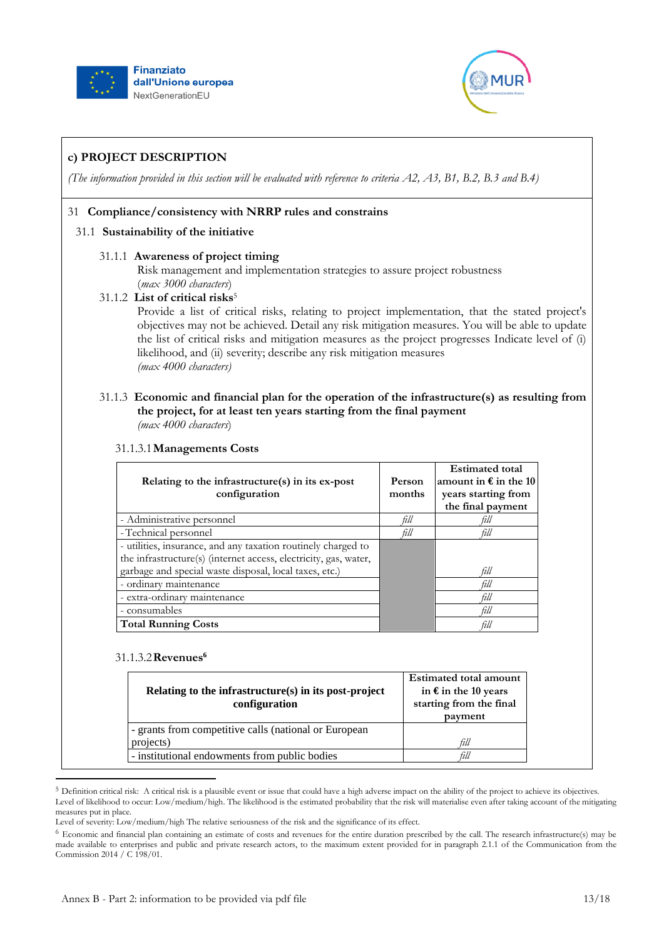



*(The information provided in this section will be evaluated with reference to criteria A2, A3, B1, B.2, B.3 and B.4)*

## 31 **Compliance/consistency with NRRP rules and constrains**

### 31.1 **Sustainability of the initiative**

## 31.1.1 **Awareness of project timing**

Risk management and implementation strategies to assure project robustness (*max 3000 characters*)

### 31.1.2 **List of critical risks**<sup>5</sup>

Provide a list of critical risks, relating to project implementation, that the stated project's objectives may not be achieved. Detail any risk mitigation measures. You will be able to update the list of critical risks and mitigation measures as the project progresses Indicate level of (i) likelihood, and (ii) severity; describe any risk mitigation measures *(max 4000 characters)*

#### 31.1.3 **Economic and financial plan for the operation of the infrastructure(s) as resulting from the project, for at least ten years starting from the final payment** *(max 4000 characters*)

| Relating to the infrastructure(s) in its ex-post<br>configuration | Person<br>months | <b>Estimated total</b><br>amount in $\epsilon$ in the 10<br>years starting from<br>the final payment |
|-------------------------------------------------------------------|------------------|------------------------------------------------------------------------------------------------------|
| - Administrative personnel                                        | fill             |                                                                                                      |
| - Technical personnel                                             | fill             | fill                                                                                                 |
| - utilities, insurance, and any taxation routinely charged to     |                  |                                                                                                      |
| the infrastructure(s) (internet access, electricity, gas, water,  |                  |                                                                                                      |
| garbage and special waste disposal, local taxes, etc.)            |                  | fill                                                                                                 |
| - ordinary maintenance                                            |                  | till                                                                                                 |
| - extra-ordinary maintenance                                      |                  | fill                                                                                                 |
| - consumables                                                     |                  | fill                                                                                                 |
| <b>Total Running Costs</b>                                        |                  |                                                                                                      |

### 31.1.3.1**Managements Costs**

#### 31.1.3.2**Revenues<sup>6</sup>**

| Relating to the infrastructure(s) in its post-project<br>configuration | <b>Estimated total amount</b><br>in $\epsilon$ in the 10 years<br>starting from the final<br>payment |
|------------------------------------------------------------------------|------------------------------------------------------------------------------------------------------|
| - grants from competitive calls (national or European                  |                                                                                                      |
| projects)                                                              | fill                                                                                                 |
| - institutional endowments from public bodies                          | ùll                                                                                                  |

<sup>&</sup>lt;sup>5</sup> Definition critical risk: A critical risk is a plausible event or issue that could have a high adverse impact on the ability of the project to achieve its objectives. Level of likelihood to occur: Low/medium/high. The likelihood is the estimated probability that the risk will materialise even after taking account of the mitigating measures put in place.

Level of severity: Low/medium/high The relative seriousness of the risk and the significance of its effect.

<sup>6</sup> Economic and financial plan containing an estimate of costs and revenues for the entire duration prescribed by the call. The research infrastructure(s) may be made available to enterprises and public and private research actors, to the maximum extent provided for in paragraph 2.1.1 of the Communication from the Commission 2014 / C 198/01.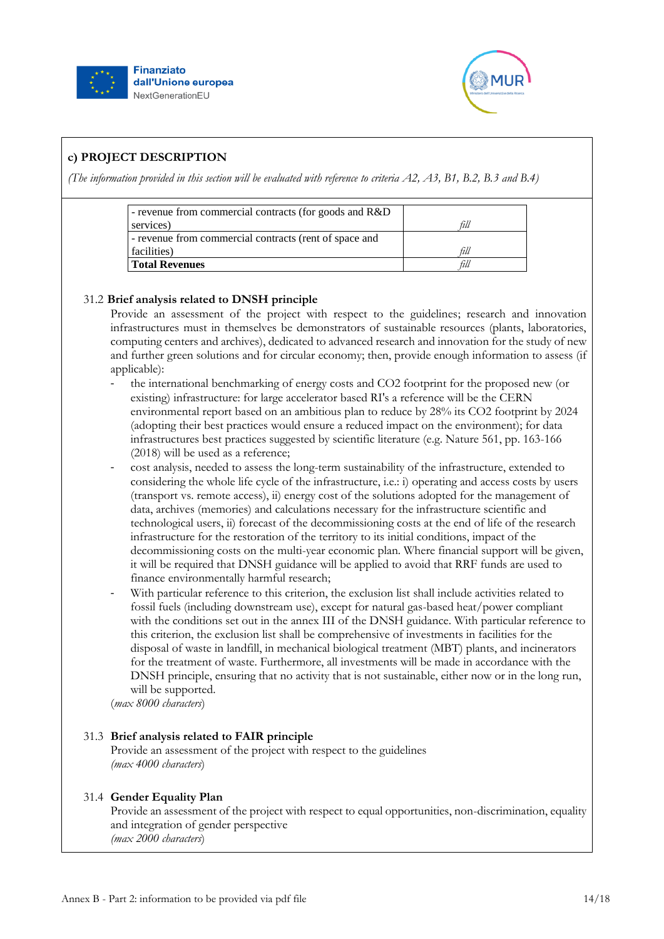



*(The information provided in this section will be evaluated with reference to criteria A2, A3, B1, B.2, B.3 and B.4)*

| - revenue from commercial contracts (for goods and R&D) |      |
|---------------------------------------------------------|------|
| services)                                               | fill |
| - revenue from commercial contracts (rent of space and  |      |
| facilities)                                             | fill |
| Total Revenues                                          | fili |

## 31.2 **Brief analysis related to DNSH principle**

Provide an assessment of the project with respect to the guidelines; research and innovation infrastructures must in themselves be demonstrators of sustainable resources (plants, laboratories, computing centers and archives), dedicated to advanced research and innovation for the study of new and further green solutions and for circular economy; then, provide enough information to assess (if applicable):

- the international benchmarking of energy costs and CO2 footprint for the proposed new (or existing) infrastructure: for large accelerator based RI's a reference will be the CERN environmental report based on an ambitious plan to reduce by 28% its CO2 footprint by 2024 (adopting their best practices would ensure a reduced impact on the environment); for data infrastructures best practices suggested by scientific literature (e.g. Nature 561, pp. 163-166 (2018) will be used as a reference;
- cost analysis, needed to assess the long-term sustainability of the infrastructure, extended to considering the whole life cycle of the infrastructure, i.e.: i) operating and access costs by users (transport vs. remote access), ii) energy cost of the solutions adopted for the management of data, archives (memories) and calculations necessary for the infrastructure scientific and technological users, ii) forecast of the decommissioning costs at the end of life of the research infrastructure for the restoration of the territory to its initial conditions, impact of the decommissioning costs on the multi-year economic plan. Where financial support will be given, it will be required that DNSH guidance will be applied to avoid that RRF funds are used to finance environmentally harmful research;
- With particular reference to this criterion, the exclusion list shall include activities related to fossil fuels (including downstream use), except for natural gas-based heat/power compliant with the conditions set out in the annex III of the DNSH guidance. With particular reference to this criterion, the exclusion list shall be comprehensive of investments in facilities for the disposal of waste in landfill, in mechanical biological treatment (MBT) plants, and incinerators for the treatment of waste. Furthermore, all investments will be made in accordance with the DNSH principle, ensuring that no activity that is not sustainable, either now or in the long run, will be supported.

(*max 8000 characters*)

### 31.3 **Brief analysis related to FAIR principle**

Provide an assessment of the project with respect to the guidelines *(max 4000 characters*)

### 31.4 **Gender Equality Plan**

Provide an assessment of the project with respect to equal opportunities, non-discrimination, equality and integration of gender perspective *(max 2000 characters*)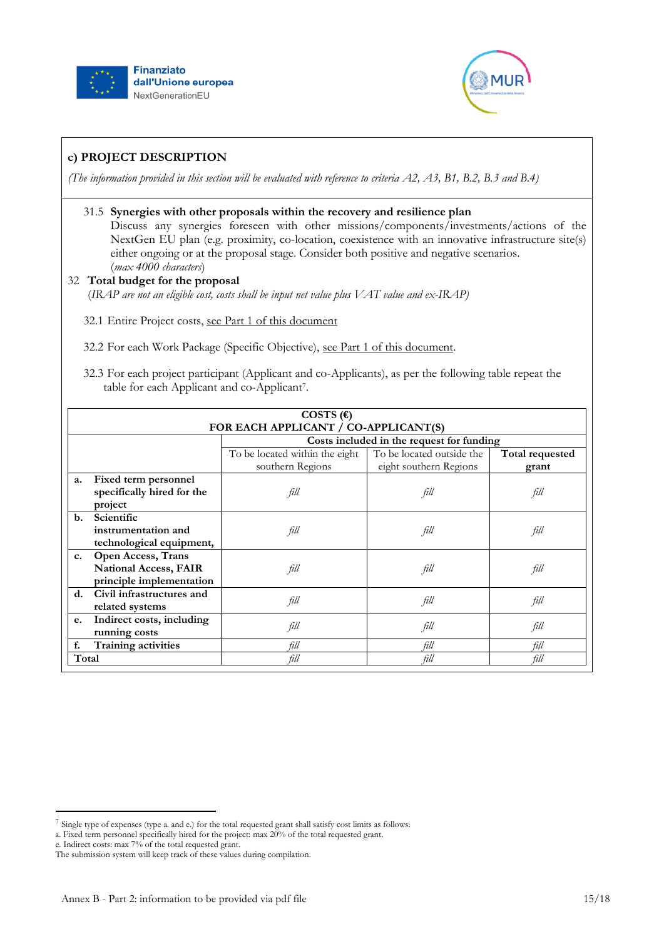



*(The information provided in this section will be evaluated with reference to criteria A2, A3, B1, B.2, B.3 and B.4)*

## 31.5 **Synergies with other proposals within the recovery and resilience plan**

Discuss any synergies foreseen with other missions/components/investments/actions of the NextGen EU plan (e.g. proximity, co-location, coexistence with an innovative infrastructure site(s) either ongoing or at the proposal stage. Consider both positive and negative scenarios. (*max 4000 characters*)

## 32 **Total budget for the proposal** (*IRAP are not an eligible cost, costs shall be input net value plus VAT value and ex-IRAP)*

32.1 Entire Project costs, see Part 1 of this document

32.2 For each Work Package (Specific Objective), see Part 1 of this document.

32.3 For each project participant (Applicant and co-Applicants), as per the following table repeat the table for each Applicant and co-Applicant<sup>7</sup>.

|                | COSTS $(\epsilon)$                                       |                                                    |                                                     |                 |
|----------------|----------------------------------------------------------|----------------------------------------------------|-----------------------------------------------------|-----------------|
|                | FOR EACH APPLICANT / CO-APPLICANT(S)                     |                                                    |                                                     |                 |
|                |                                                          | Costs included in the request for funding          |                                                     |                 |
|                |                                                          | To be located within the eight<br>southern Regions | To be located outside the<br>eight southern Regions | Total requested |
| a.             | Fixed term personnel                                     |                                                    |                                                     | grant           |
|                | specifically hired for the                               | fill                                               | fill                                                | fill            |
|                | project                                                  |                                                    |                                                     |                 |
| $\mathbf{b}$ . | Scientific                                               |                                                    |                                                     |                 |
|                | instrumentation and<br>technological equipment,          | fill                                               | fill                                                | fill            |
| c.             | <b>Open Access, Trans</b>                                |                                                    |                                                     |                 |
|                | <b>National Access, FAIR</b><br>principle implementation | fill                                               | fill                                                | fill            |
| d.             | Civil infrastructures and                                |                                                    |                                                     |                 |
|                | related systems                                          | fill                                               | fill                                                | fill            |
| e.             | Indirect costs, including                                | fill                                               | fill                                                | fill            |
|                | running costs                                            |                                                    |                                                     |                 |
| f.             | Training activities                                      | fill                                               | fill                                                | fill            |
| Total          |                                                          | fill                                               | fill                                                | fill            |

- a. Fixed term personnel specifically hired for the project: max 20% of the total requested grant.
- e. Indirect costs: max 7% of the total requested grant.

<sup>7</sup> Single type of expenses (type a. and e.) for the total requested grant shall satisfy cost limits as follows: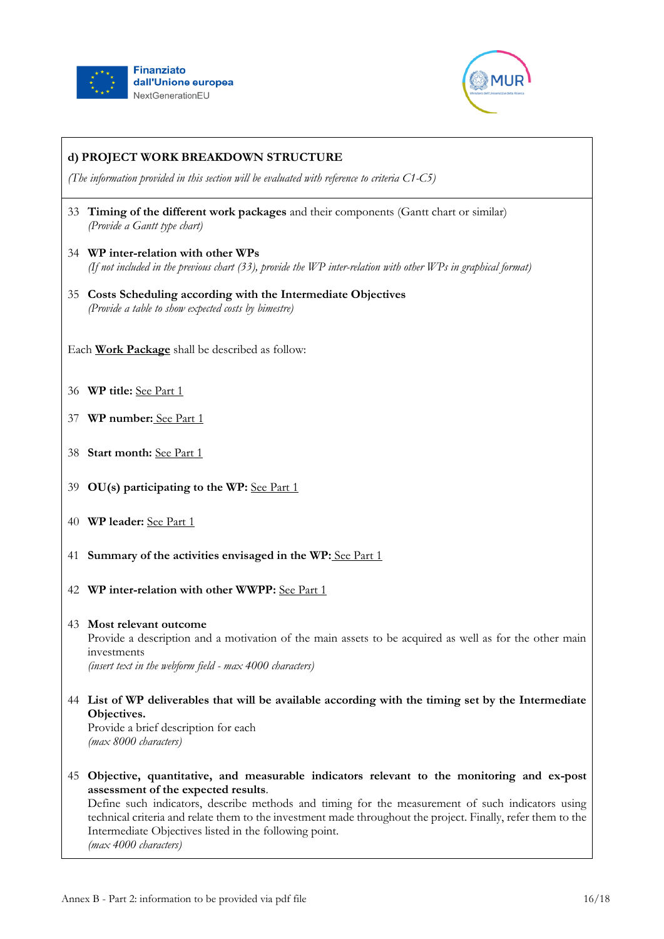



*(The information provided in this section will be evaluated with reference to criteria C1-C5)*

- 33 **Timing of the different work packages** and their components (Gantt chart or similar) *(Provide a Gantt type chart)*
- 34 **WP inter-relation with other WPs** *(If not included in the previous chart (33), provide the WP inter-relation with other WPs in graphical format)*
- 35 **Costs Scheduling according with the Intermediate Objectives** *(Provide a table to show expected costs by bimestre)*
- Each **Work Package** shall be described as follow:
- 36 **WP title:** See Part 1
- 37 **WP number:** See Part 1
- 38 **Start month:** See Part 1
- 39 **OU(s) participating to the WP:** See Part 1
- 40 **WP leader:** See Part 1
- 41 **Summary of the activities envisaged in the WP:** See Part 1
- 42 **WP inter-relation with other WWPP:** See Part 1
- 43 **Most relevant outcome** Provide a description and a motivation of the main assets to be acquired as well as for the other main investments *(insert text in the webform field - max 4000 characters)*
- 44 **List of WP deliverables that will be available according with the timing set by the Intermediate Objectives.**

Provide a brief description for each *(max 8000 characters)*

45 **Objective, quantitative, and measurable indicators relevant to the monitoring and ex-post assessment of the expected results**.

Define such indicators, describe methods and timing for the measurement of such indicators using technical criteria and relate them to the investment made throughout the project. Finally, refer them to the Intermediate Objectives listed in the following point. *(max 4000 characters)*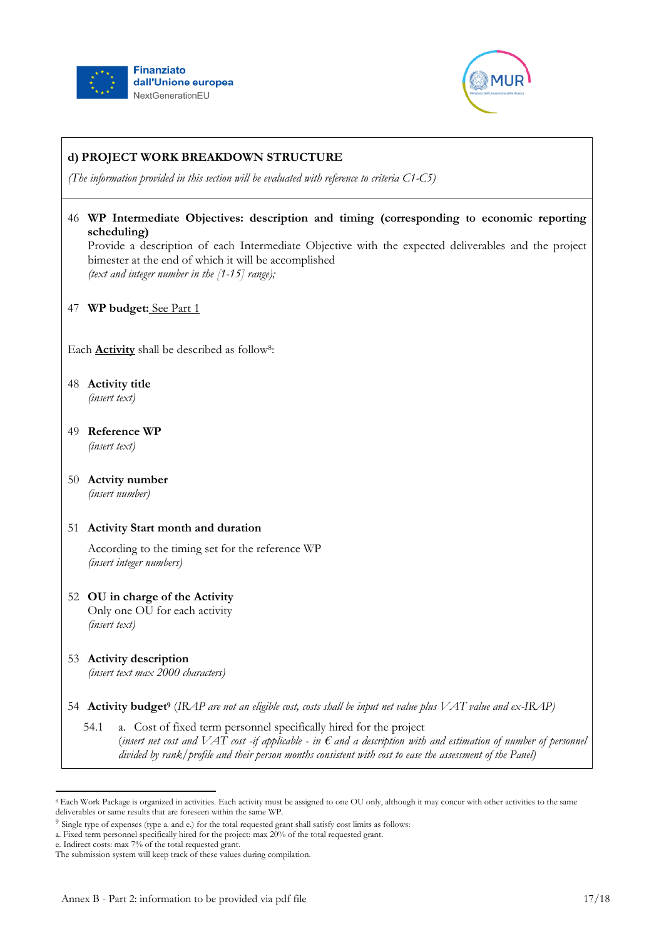



*(The information provided in this section will be evaluated with reference to criteria C1-C5)*

46 **WP Intermediate Objectives: description and timing (corresponding to economic reporting scheduling)**

Provide a description of each Intermediate Objective with the expected deliverables and the project bimester at the end of which it will be accomplished *(text and integer number in the [1-15] range);*

47 **WP budget:** See Part 1

Each **Activity** shall be described as follow<sup>8</sup>:

- 48 **Activity title** *(insert text)*
- 49 **Reference WP** *(insert text)*
- 50 **Actvity number** *(insert number)*

### 51 **Activity Start month and duration**

According to the timing set for the reference WP *(insert integer numbers)*

- 52 **OU in charge of the Activity** Only one OU for each activity *(insert text)*
- 53 **Activity description** *(insert text max 2000 characters)*
- 54 **Activity budget<sup>9</sup>** (*IRAP are not an eligible cost, costs shall be input net value plus VAT value and ex-IRAP)*
	- 54.1 a. Cost of fixed term personnel specifically hired for the project (*insert net cost and VAT cost -if applicable - in € and a description with and estimation of number of personnel divided by rank/profile and their person months consistent with cost to ease the assessment of the Panel)*

 $\overline{a}$ <sup>8</sup> Each Work Package is organized in activities. Each activity must be assigned to one OU only, although it may concur with other activities to the same deliverables or same results that are foreseen within the same WP.

<sup>&</sup>lt;sup>9</sup> Single type of expenses (type a. and e.) for the total requested grant shall satisfy cost limits as follows:

a. Fixed term personnel specifically hired for the project: max 20% of the total requested grant.

e. Indirect costs: max 7% of the total requested grant.

The submission system will keep track of these values during compilation.